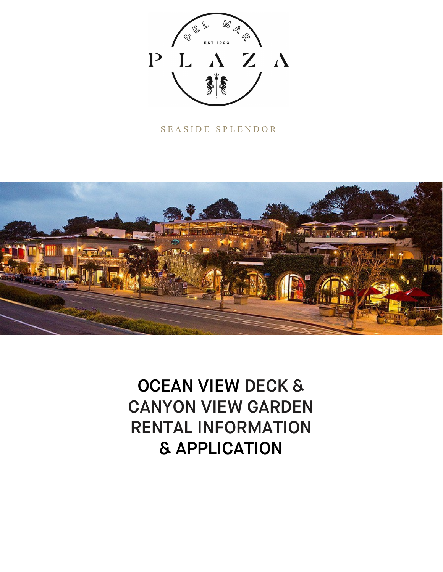

# SEASIDE SPLENDOR



OCEAN VIEW DECK & CANYON VIEW GARDEN RENTAL INFORMATION & APPLICATION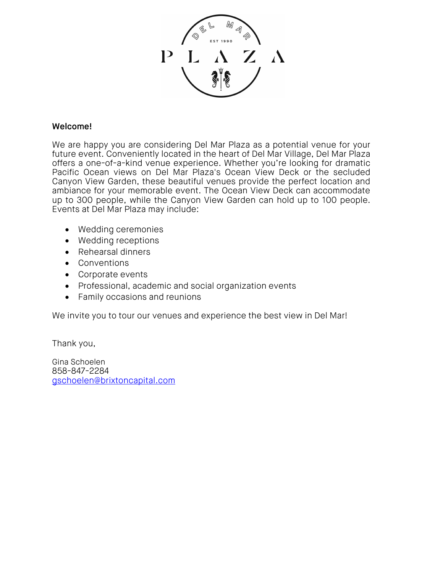

# Welcome!

We are happy you are considering Del Mar Plaza as a potential venue for your future event. Conveniently located in the heart of Del Mar Village, Del Mar Plaza offers a one-of-a-kind venue experience. Whether you're looking for dramatic Pacific Ocean views on Del Mar Plaza's Ocean View Deck or the secluded Canyon View Garden, these beautiful venues provide the perfect location and ambiance for your memorable event. The Ocean View Deck can accommodate up to 300 people, while the Canyon View Garden can hold up to 100 people. Events at Del Mar Plaza may include:

- Wedding ceremonies
- Wedding receptions
- Rehearsal dinners
- Conventions
- Corporate events
- Professional, academic and social organization events
- Family occasions and reunions

We invite you to tour our venues and experience the best view in Del Mar!

Thank you,

Gina Schoelen 858-847-2284 [gschoelen@brixtoncapital.com](mailto:gschoelen@brixtoncapital.com)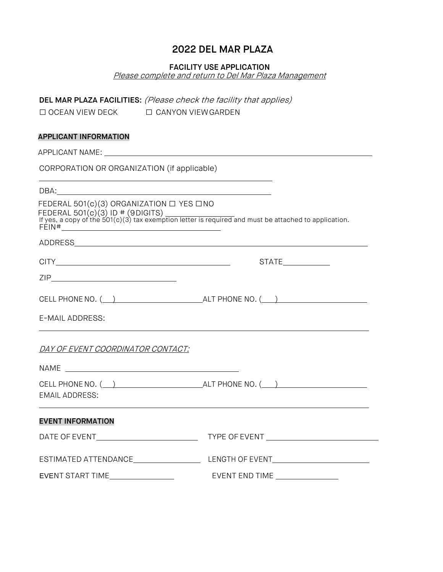# 2022 DEL MAR PLAZA

#### FACILITY USE APPLICATION

Please complete and return to Del Mar Plaza Management

DEL MAR PLAZA FACILITIES: (Please check the facility that applies)

| $\Box$ OCEAN VIEW DECK | $\Box$ CANYON VIEW GARDEN |
|------------------------|---------------------------|
|                        |                           |

#### APPLICANT INFORMATION

APPLICANT NAME: CORPORATION OR ORGANIZATION (if applicable) DBA: FEDERAL 501(c)(3) ORGANIZATION □ YES □NO FEDERAL 501(c)(3) ID # (9DIGITS) If yes, a copy of the 501(c)(3) tax exemption letter is required and must be attached to application. FEIN# ADDRESS CITY STATE ZIP

| CELL PHONE NO. | ALT PHONE NO. |  |
|----------------|---------------|--|
|                |               |  |

E-MAIL ADDRESS:

DAY OF EVENT COORDINATOR CONTACT:

| EMAIL ADDRESS:                                                                                                 |                |
|----------------------------------------------------------------------------------------------------------------|----------------|
| <b>EVENT INFORMATION</b>                                                                                       |                |
| DATE OF EVENT THE STATE OF STATE OF STATE OF STATE OF STATE OF STATE OF STATE OF STATE OF STATE OF STATE OF ST |                |
| ESTIMATED ATTENDANCE                                                                                           |                |
| EVENT START TIME                                                                                               | EVENT END TIME |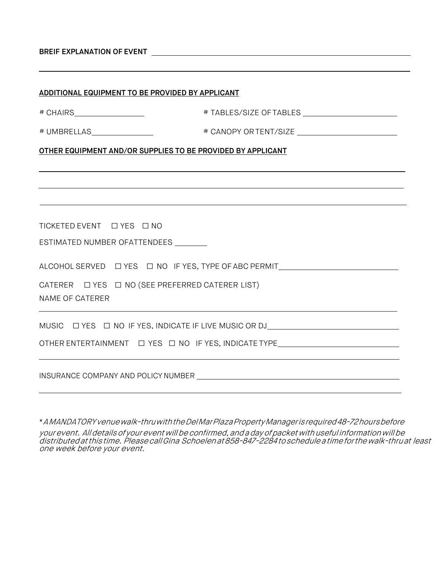|  |  |  | <b>BREIF EXPLANATION OF EVENT</b> |
|--|--|--|-----------------------------------|
|--|--|--|-----------------------------------|

| ADDITIONAL EQUIPMENT TO BE PROVIDED BY APPLICANT            |                                                                                                                                                                           |
|-------------------------------------------------------------|---------------------------------------------------------------------------------------------------------------------------------------------------------------------------|
|                                                             |                                                                                                                                                                           |
| # UMBRELLAS________________                                 |                                                                                                                                                                           |
| OTHER EQUIPMENT AND/OR SUPPLIES TO BE PROVIDED BY APPLICANT |                                                                                                                                                                           |
|                                                             |                                                                                                                                                                           |
|                                                             |                                                                                                                                                                           |
|                                                             |                                                                                                                                                                           |
|                                                             |                                                                                                                                                                           |
| ESTIMATED NUMBER OFATTENDEES                                |                                                                                                                                                                           |
|                                                             | ALCOHOL SERVED $\Box$ YES $\Box$ NO IF YES, TYPE OF ABC PERMIT_______________________                                                                                     |
|                                                             |                                                                                                                                                                           |
| NAME OF CATERER                                             |                                                                                                                                                                           |
|                                                             | ,我们也不会有什么。""我们的人,我们也不会有什么?""我们的人,我们也不会有什么?""我们的人,我们也不会有什么?""我们的人,我们也不会有什么?""我们的人<br>MUSIC $\Box$ YES $\Box$ NO IF YES, INDICATE IF LIVE MUSIC OR DJ _____________________ |
|                                                             |                                                                                                                                                                           |
|                                                             |                                                                                                                                                                           |

\*A MANDATORY venuewalk-thruwiththeDelMarPlazaPropertyManager is required48-72hoursbefore your event. All details of your event will be confirmed, and a day of packet with useful information will be distributedatthistime. PleasecallGina Schoelenat858-847-2284toschedule a timeforthewalk-thruat least one week before your event.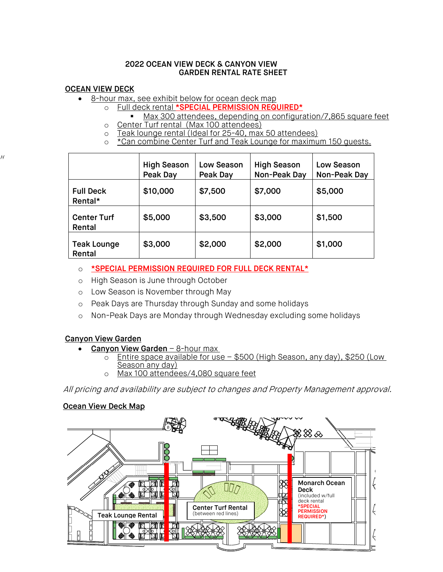#### 2022 OCEAN VIEW DECK & CANYON VIEW GARDEN RENTAL RATE SHEET

### OCEAN VIEW DECK

H

- 8-hour max, see exhibit below for ocean deck map
	- o Full deck rental \*SPECIAL PERMISSION REQUIRED\*
	- Max 300 attendees, depending on configuration/7,865 square feet o Center Turf rental (Max 100 attendees)<br>o Teak lounge rental (Ideal for 25-40, max
	- Teak lounge rental (Ideal for 25-40, max 50 attendees)
	- o \*Can combine Center Turf and Teak Lounge for maximum 150 quests.

|                              | <b>High Season</b><br>Peak Day | Low Season<br>Peak Day | <b>High Season</b><br>Non-Peak Day | Low Season<br>Non-Peak Day |
|------------------------------|--------------------------------|------------------------|------------------------------------|----------------------------|
| <b>Full Deck</b><br>Rental*  | \$10,000                       | \$7,500                | \$7,000                            | \$5,000                    |
| <b>Center Turf</b><br>Rental | \$5,000                        | \$3,500                | \$3,000                            | \$1,500                    |
| <b>Teak Lounge</b><br>Rental | \$3,000                        | \$2,000                | \$2,000                            | \$1,000                    |

- o \*SPECIAL PERMISSION REQUIRED FOR FULL DECK RENTAL\*
- o High Season is June through October
- o Low Season is November through May
- o Peak Days are Thursday through Sunday and some holidays
- o Non-Peak Days are Monday through Wednesday excluding some holidays

# Canyon View Garden

- Canyon View Garden 8-hour max
	- $\circ$  Entire space available for use \$500 (High Season, any day), \$250 (Low Season any day)
	- o Max 100 attendees/4,080 square feet

All pricing and availability are subject to changes and Property Management approval.

#### Ocean View Deck Map

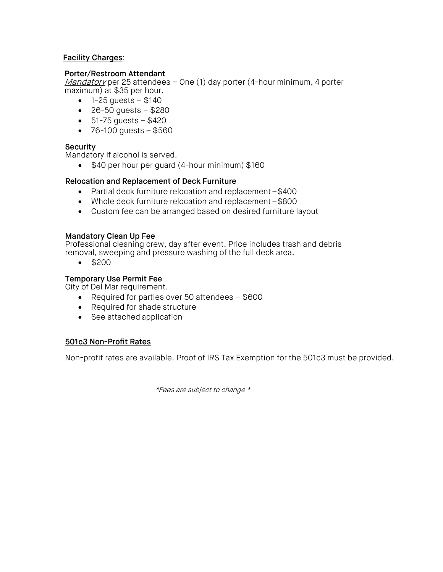## Facility Charges:

#### Porter/Restroom Attendant

Mandatory per 25 attendees – One (1) day porter (4-hour minimum, 4 porter maximum) at \$35 per hour.

- $1 25$  guests  $$140$
- 26-50 guests \$280
- $51 75$  guests  $$420$
- $76 100$  guests  $-$  \$560

#### Security

Mandatory if alcohol is served.

• \$40 per hour per guard (4-hour minimum) \$160

#### Relocation and Replacement of Deck Furniture

- Partial deck furniture relocation and replacement \$400
- Whole deck furniture relocation and replacement \$800
- Custom fee can be arranged based on desired furniture layout

#### Mandatory Clean Up Fee

Professional cleaning crew, day after event. Price includes trash and debris removal, sweeping and pressure washing of the full deck area.

• \$200

## Temporary Use Permit Fee

City of Del Mar requirement.

- Required for parties over 50 attendees \$600
- Required for shade structure
- See attached application

#### 501c3 Non-Profit Rates

Non-profit rates are available. Proof of IRS Tax Exemption for the 501c3 must be provided.

\*Fees are subject to change \*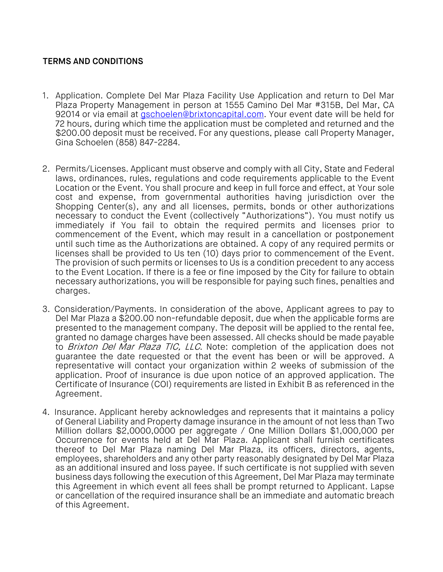# TERMS AND CONDITIONS

- 1. Application. Complete Del Mar Plaza Facility Use Application and return to Del Mar Plaza Property Management in person at 1555 Camino Del Mar #315B, Del Mar, CA 92014 or via email at [gschoelen@brixtoncapital.com.](mailto:gschoelen@brixtoncapital.com) Your event date will be held for 72 hours, during which time the application must be completed and returned and the \$200.00 deposit must be received. For any questions, please call Property Manager, Gina Schoelen (858) 847-2284.
- 2. Permits/Licenses. Applicant must observe and comply with all City, State and Federal laws, ordinances, rules, regulations and code requirements applicable to the Event Location or the Event. You shall procure and keep in full force and effect, at Your sole cost and expense, from governmental authorities having jurisdiction over the Shopping Center(s), any and all licenses, permits, bonds or other authorizations necessary to conduct the Event (collectively "Authorizations"). You must notify us immediately if You fail to obtain the required permits and licenses prior to commencement of the Event, which may result in a cancellation or postponement until such time as the Authorizations are obtained. A copy of any required permits or licenses shall be provided to Us ten (10) days prior to commencement of the Event. The provision of such permits or licenses to Us is a condition precedent to any access to the Event Location. If there is a fee or fine imposed by the City for failure to obtain necessary authorizations, you will be responsible for paying such fines, penalties and charges.
- 3. Consideration/Payments. In consideration of the above, Applicant agrees to pay to Del Mar Plaza a \$200.00 non-refundable deposit, due when the applicable forms are presented to the management company. The deposit will be applied to the rental fee, granted no damage charges have been assessed. All checks should be made payable to Brixton Del Mar Plaza TIC, LLC. Note: completion of the application does not guarantee the date requested or that the event has been or will be approved. A representative will contact your organization within 2 weeks of submission of the application. Proof of insurance is due upon notice of an approved application. The Certificate of Insurance (COI) requirements are listed in Exhibit B as referenced in the Agreement.
- 4. Insurance. Applicant hereby acknowledges and represents that it maintains a policy of General Liability and Property damage insurance in the amount of not less than Two Million dollars \$2,0000,0000 per aggregate / One Million Dollars \$1,000,000 per Occurrence for events held at Del Mar Plaza. Applicant shall furnish certificates thereof to Del Mar Plaza naming Del Mar Plaza, its officers, directors, agents, employees, shareholders and any other party reasonably designated by Del Mar Plaza as an additional insured and loss payee. If such certificate is not supplied with seven business days following the execution of this Agreement, Del Mar Plaza may terminate this Agreement in which event all fees shall be prompt returned to Applicant. Lapse or cancellation of the required insurance shall be an immediate and automatic breach of this Agreement.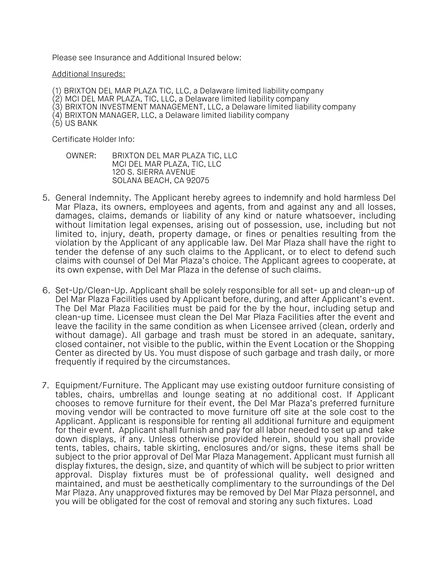Please see Insurance and Additional Insured below:

#### Additional Insureds:

- (1) BRIXTON DEL MAR PLAZA TIC, LLC, a Delaware limited liability company
- (2) MCI DEL MAR PLAZA, TIC, LLC, a Delaware limited liability company
- (3) BRIXTON INVESTMENT MANAGEMENT, LLC, a Delaware limited liability company
- (4) BRIXTON MANAGER, LLC, a Delaware limited liability company (5) US BANK
- 

Certificate Holder Info:

- OWNER: BRIXTON DEL MAR PLAZA TIC, LLC MCI DEL MAR PLAZA, TIC, LLC 120 S. SIERRA AVENUE SOLANA BEACH, CA 92075
- 5. General Indemnity. The Applicant hereby agrees to indemnify and hold harmless Del Mar Plaza, its owners, employees and agents, from and against any and all losses, damages, claims, demands or liability of any kind or nature whatsoever, including without limitation legal expenses, arising out of possession, use, including but not limited to, injury, death, property damage, or fines or penalties resulting from the violation by the Applicant of any applicable law. Del Mar Plaza shall have the right to tender the defense of any such claims to the Applicant, or to elect to defend such claims with counsel of Del Mar Plaza's choice. The Applicant agrees to cooperate, at its own expense, with Del Mar Plaza in the defense of such claims.
- 6. Set-Up/Clean-Up. Applicant shall be solely responsible for all set- up and clean-up of Del Mar Plaza Facilities used by Applicant before, during, and after Applicant's event. The Del Mar Plaza Facilities must be paid for the by the hour, including setup and clean-up time. Licensee must clean the Del Mar Plaza Facilities after the event and leave the facility in the same condition as when Licensee arrived (clean, orderly and without damage). All garbage and trash must be stored in an adequate, sanitary, closed container, not visible to the public, within the Event Location or the Shopping Center as directed by Us. You must dispose of such garbage and trash daily, or more frequently if required by the circumstances.
- 7. Equipment/Furniture. The Applicant may use existing outdoor furniture consisting of tables, chairs, umbrellas and lounge seating at no additional cost. If Applicant chooses to remove furniture for their event, the Del Mar Plaza's preferred furniture moving vendor will be contracted to move furniture off site at the sole cost to the Applicant. Applicant is responsible for renting all additional furniture and equipment for their event. Applicant shall furnish and pay for all labor needed to set up and take down displays, if any. Unless otherwise provided herein, should you shall provide tents, tables, chairs, table skirting, enclosures and/or signs, these items shall be subject to the prior approval of Del Mar Plaza Management. Applicant must furnish all display fixtures, the design, size, and quantity of which will be subject to prior written approval. Display fixtures must be of professional quality, well designed and maintained, and must be aesthetically complimentary to the surroundings of the Del Mar Plaza. Any unapproved fixtures may be removed by Del Mar Plaza personnel, and you will be obligated for the cost of removal and storing any such fixtures. Load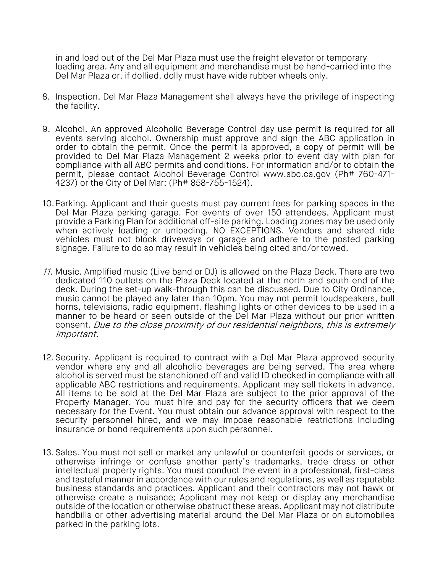in and load out of the Del Mar Plaza must use the freight elevator or temporary loading area. Any and all equipment and merchandise must be hand-carried into the Del Mar Plaza or, if dollied, dolly must have wide rubber wheels only.

- 8. Inspection. Del Mar Plaza Management shall always have the privilege of inspecting the facility.
- 9. Alcohol. An approved Alcoholic Beverage Control day use permit is required for all events serving alcohol. Ownership must approve and sign the ABC application in order to obtain the permit. Once the permit is approved, a copy of permit will be provided to Del Mar Plaza Management 2 weeks prior to event day with plan for compliance with all ABC permits and conditions. For information and/or to obtain the permit, please contact Alcohol Beverage Control [www.abc.ca.gov](http://www.abc.ca.gov/) (Ph# 760-471- 4237) or the City of Del Mar: (Ph# 858-755-1524).
- 10.Parking. Applicant and their guests must pay current fees for parking spaces in the Del Mar Plaza parking garage. For events of over 150 attendees, Applicant must provide a Parking Plan for additional off-site parking. Loading zones may be used only when actively loading or unloading, NO EXCEPTIONS. Vendors and shared ride vehicles must not block driveways or garage and adhere to the posted parking signage. Failure to do so may result in vehicles being cited and/or towed.
- 11. Music. Amplified music (Live band or DJ) is allowed on the Plaza Deck. There are two dedicated 110 outlets on the Plaza Deck located at the north and south end of the deck. During the set-up walk-through this can be discussed. Due to City Ordinance, music cannot be played any later than 10pm. You may not permit loudspeakers, bull horns, televisions, radio equipment, flashing lights or other devices to be used in a manner to be heard or seen outside of the Del Mar Plaza without our prior written consent. Due to the close proximity of our residential neighbors, this is extremely important.
- 12.Security. Applicant is required to contract with a Del Mar Plaza approved security vendor where any and all alcoholic beverages are being served. The area where alcohol is served must be stanchioned off and valid ID checked in compliance with all applicable ABC restrictions and requirements. Applicant may sell tickets in advance. All items to be sold at the Del Mar Plaza are subject to the prior approval of the Property Manager. You must hire and pay for the security officers that we deem necessary for the Event. You must obtain our advance approval with respect to the security personnel hired, and we may impose reasonable restrictions including insurance or bond requirements upon such personnel.
- 13.Sales. You must not sell or market any unlawful or counterfeit goods or services, or otherwise infringe or confuse another party's trademarks, trade dress or other intellectual property rights. You must conduct the event in a professional, first-class and tasteful manner in accordance with our rules and regulations, as well as reputable business standards and practices. Applicant and their contractors may not hawk or otherwise create a nuisance; Applicant may not keep or display any merchandise outside of the location or otherwise obstruct these areas. Applicant may not distribute handbills or other advertising material around the Del Mar Plaza or on automobiles parked in the parking lots.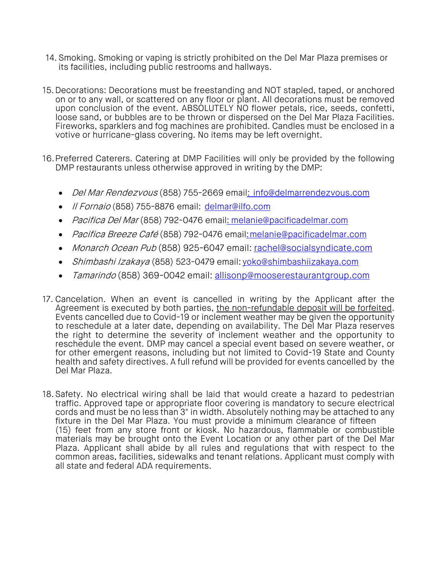- 14. Smoking. Smoking or vaping is strictly prohibited on the Del Mar Plaza premises or its facilities, including public restrooms and hallways.
- 15.Decorations: Decorations must be freestanding and NOT stapled, taped, or anchored on or to any wall, or scattered on any floor or plant. All decorations must be removed upon conclusion of the event. ABSOLUTELY NO flower petals, rice, seeds, confetti, loose sand, or bubbles are to be thrown or dispersed on the Del Mar Plaza Facilities. Fireworks, sparklers and fog machines are prohibited. Candles must be enclosed in a votive or hurricane-glass covering. No items may be left overnight.
- 16.Preferred Caterers. Catering at DMP Facilities will only be provided by the following DMP restaurants unless otherwise approved in writing by the DMP:
	- *Del Mar Rendezvous* (858) 755-2669 emai[l: info@delmarrendezvous.com](mailto::%20info@delmarrendezvous.com)
	- Il Fornaio (858) 755-8876 email: [delmar@ilfo.com](mailto:delmar@ilfo.com)
	- Pacifica Del Mar (858) 792-0476 emai[l: melanie@pacificadelmar.com](mailto::%20melanie@pacificadelmar.com)
	- Pacifica Breeze Café (858) 792-0476 emai[l: melanie@pacificadelmar.com](mailto::%20melanie@pacificadelmar.com)
	- Monarch Ocean Pub (858) 925-6047 email: [rachel@socialsyndicate.com](mailto:rachel@socialsyndicate.com)
	- Shimbashi Izakaya (858) 523-0479 email: yoko@shimbashiizakaya.com
	- Tamarindo (858) 369-0042 email: [allisonp@mooserestaurantgroup.com](mailto:allisonp@mooserestaurantgroup.com)
- 17. Cancelation. When an event is cancelled in writing by the Applicant after the Agreement is executed by both parties, the non-refundable deposit will be forfeited. Events cancelled due to Covid-19 or inclement weather may be given the opportunity to reschedule at a later date, depending on availability. The Del Mar Plaza reserves the right to determine the severity of inclement weather and the opportunity to reschedule the event. DMP may cancel a special event based on severe weather, or for other emergent reasons, including but not limited to Covid-19 State and County health and safety directives. A full refund will be provided for events cancelled by the Del Mar Plaza.
- 18.Safety. No electrical wiring shall be laid that would create a hazard to pedestrian traffic. Approved tape or appropriate floor covering is mandatory to secure electrical cords and must be no less than 3" in width. Absolutely nothing may be attached to any fixture in the Del Mar Plaza. You must provide a minimum clearance of fifteen (15) feet from any store front or kiosk. No hazardous, flammable or combustible materials may be brought onto the Event Location or any other part of the Del Mar Plaza. Applicant shall abide by all rules and regulations that with respect to the common areas, facilities, sidewalks and tenant relations. Applicant must comply with all state and federal ADA requirements.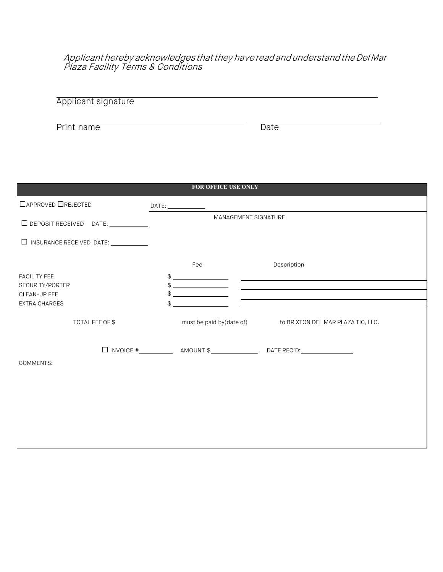Applicant hereby acknowledges that they have read and understand the Del Mar Plaza Facility Terms & Conditions

| <b>Applicant signature</b> |  |  |
|----------------------------|--|--|
|                            |  |  |
|                            |  |  |
|                            |  |  |

Print name Date

|                                                                                            | <b>FOR OFFICE USE ONLY</b>  |                                                                                                                                        |
|--------------------------------------------------------------------------------------------|-----------------------------|----------------------------------------------------------------------------------------------------------------------------------------|
| □ APPROVED □ REJECTED                                                                      |                             |                                                                                                                                        |
| $\Box$ DEPOSIT RECEIVED DATE: $\_\_\_\_\_\_\_\_\_\_\_\_\_\_\_\_\_\_\_\_\_\_\_\_\_\_\_\_\_$ | <b>MANAGEMENT SIGNATURE</b> |                                                                                                                                        |
| □ INSURANCE RECEIVED DATE: ___________                                                     |                             |                                                                                                                                        |
|                                                                                            | Fee                         | Description                                                                                                                            |
| <b>FACILITY FEE</b><br>SECURITY/PORTER                                                     |                             | $\frac{1}{2}$                                                                                                                          |
| CLEAN-UP FEE                                                                               |                             |                                                                                                                                        |
| <b>EXTRA CHARGES</b>                                                                       | $\qquad \qquad \$$          | $\frac{1}{2}$<br><u> 1989 - John Stein, mars and de film and de film and de film and de film and de film and de film and de film a</u> |
|                                                                                            |                             | TOTAL FEE OF \$____________________________must be paid by(date of)___________to BRIXTON DEL MAR PLAZA TIC, LLC.                       |
|                                                                                            |                             |                                                                                                                                        |
| <b>COMMENTS:</b>                                                                           |                             |                                                                                                                                        |
|                                                                                            |                             |                                                                                                                                        |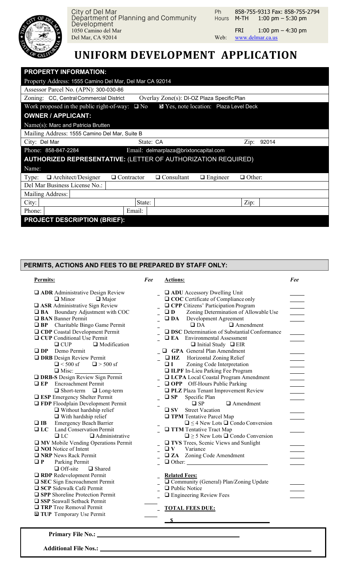

City of Del Mar Department of Planning and Community Development 1050 Camino del Mar FRI 1:00 pm – 4:30 pm<br>Del Mar, CA 92014 Web: www.delmar.ca.us Del Mar, CA 92014

Ph Hours **M-TH** 858-755-9313 Fax: 858-755-2794  $1:00 \text{ pm} - 5:30 \text{ pm}$ 

*Fee*

# **UNIFORM DEVELOPMENT APPLICATION**

| <b>PROPERTY INFORMATION:</b>                                  |                   |                                            |                                        |               |  |
|---------------------------------------------------------------|-------------------|--------------------------------------------|----------------------------------------|---------------|--|
| Property Address: 1555 Camino Del Mar, Del Mar CA 92014       |                   |                                            |                                        |               |  |
| Assessor Parcel No. (APN): 300-030-86                         |                   |                                            |                                        |               |  |
| Zoning: CC, Central Commercial District                       |                   | Overlay Zone(s): DI-OZ Plaza Specific Plan |                                        |               |  |
| Work proposed in the public right-of-way: $\Box$ No           |                   |                                            | ■ Yes, note location: Plaza Level Deck |               |  |
| <b>OWNER / APPLICANT:</b>                                     |                   |                                            |                                        |               |  |
| Name(s): Marc and Patricia Brutten                            |                   |                                            |                                        |               |  |
| Mailing Address: 1555 Camino Del Mar, Suite B                 |                   |                                            |                                        |               |  |
| City: Del Mar                                                 | State: CA         |                                            |                                        | 92014<br>Zip: |  |
| Phone: 858-847-2284                                           |                   | Email: delmarplaza@brixtoncapital.com      |                                        |               |  |
| AUTHORIZED REPRESENTATIVE: (LETTER OF AUTHORIZATION REQUIRED) |                   |                                            |                                        |               |  |
| Name:                                                         |                   |                                            |                                        |               |  |
| $\Box$ Architect/Designer<br>Type:                            | $\Box$ Contractor | $\Box$ Consultant                          | $\Box$ Engineer                        | $\Box$ Other: |  |
| Del Mar Business License No.:                                 |                   |                                            |                                        |               |  |
| Mailing Address:                                              |                   |                                            |                                        |               |  |
| City:                                                         | State:            |                                            |                                        | Zip:          |  |
| Phone:                                                        | Email:            |                                            |                                        |               |  |
| <b>PROJECT DESCRIPTION (BRIEF):</b>                           |                   |                                            |                                        |               |  |
|                                                               |                   |                                            |                                        |               |  |

## **PERMITS, ACTIONS AND FEES TO BE PREPARED BY STAFF ONLY:**

## **Permits:**

#### *Fee* **Actions:**

| <b>Q ADR</b> Administrative Design Review<br>$\Box$ Minor<br>$\Box$ Major<br>□ ASR Administrative Sign Review<br>□ BA Boundary Adjustment with COC<br><b>Q</b> BAN Banner Permit | <b>Q ADU</b> Accessory Dwelling Unit<br>□ COC Certificate of Compliance only<br><b>Q CPP</b> Citizens' Participation Program<br>Zoning Determination of Allowable Use<br>$\square$ D<br>Development Agreement<br>$\square$ DA |
|----------------------------------------------------------------------------------------------------------------------------------------------------------------------------------|-------------------------------------------------------------------------------------------------------------------------------------------------------------------------------------------------------------------------------|
| <b>Q BP</b> Charitable Bingo Game Permit                                                                                                                                         | $\Box$ Amendment<br>$\Box$ DA<br>□ DSC Determination of Substantial Conformance                                                                                                                                               |
| <b>Q CDP</b> Coastal Development Permit<br><b>Q</b> CUP Conditional Use Permit                                                                                                   | <b>EA</b> Environmental Assessment                                                                                                                                                                                            |
| □ Modification<br>$\Box$ CUP                                                                                                                                                     | $\Box$ Initial Study $\Box$ EIR                                                                                                                                                                                               |
| Demo Permit<br>$\square$ DP                                                                                                                                                      | <b>Q</b> GPA General Plan Amendment                                                                                                                                                                                           |
| <b>DRB</b> Design Review Permit                                                                                                                                                  | $\Box$ HZ Horizontal Zoning Relief                                                                                                                                                                                            |
| $\Box$ < 500 sf $\Box$ > 500 sf                                                                                                                                                  | $\Box$<br>Zoning Code Interpretation                                                                                                                                                                                          |
|                                                                                                                                                                                  | <b>LILPF</b> In-Lieu Parking Fee Program                                                                                                                                                                                      |
| <b>Q DRB-S</b> Design Review Sign Permit                                                                                                                                         | □ LCPA Local Coastal Program Amendment                                                                                                                                                                                        |
| <b>EP</b> Encroachment Permit                                                                                                                                                    | OPP Off-Hours Public Parking                                                                                                                                                                                                  |
| $\Box$ Short-term $\Box$ Long-term                                                                                                                                               | <b>Q PLZ</b> Plaza Tenant Improvement Review                                                                                                                                                                                  |
| <b>ESP</b> Emergency Shelter Permit                                                                                                                                              | $\square$ SP<br>Specific Plan                                                                                                                                                                                                 |
| <b>THE FIGGER</b> Floodplain Development Permit                                                                                                                                  | $\Box$ SP<br>$\Box$ Amendment                                                                                                                                                                                                 |
| $\Box$ Without hardship relief                                                                                                                                                   | <b>Street Vacation</b><br>$\square$ SV                                                                                                                                                                                        |
| $\Box$ With hardship relief                                                                                                                                                      | <b>TPM</b> Tentative Parcel Map                                                                                                                                                                                               |
| <b>Emergency Beach Barrier</b><br>$\Box$ IB                                                                                                                                      | $\Box \leq 4$ New Lots $\Box$ Condo Conversion                                                                                                                                                                                |
| Land Conservation Permit<br>$\Box$ LC                                                                                                                                            | $\Box$ TTM Tentative Tract Map                                                                                                                                                                                                |
| $\Box$ Administrative<br>$\Box$ LC                                                                                                                                               | $\Box \geq 5$ New Lots $\Box$ Condo Conversion                                                                                                                                                                                |
| <b>MV</b> Mobile Vending Operations Permit                                                                                                                                       | TVS Trees, Scenic Views and Sunlight                                                                                                                                                                                          |
| $\Box$ NOI Notice of Intent                                                                                                                                                      | Variance<br>$\Box V$                                                                                                                                                                                                          |
| $\Box$ NRP News Rack Permit                                                                                                                                                      | <b><math>\Box</math> ZA</b> Zoning Code Amendment                                                                                                                                                                             |
| Parking Permit<br>$\Box P$                                                                                                                                                       |                                                                                                                                                                                                                               |
| $\Box$ Off-site<br>$\Box$ Shared                                                                                                                                                 |                                                                                                                                                                                                                               |
| RDP Redevelopment Permit                                                                                                                                                         | <b>Related Fees:</b>                                                                                                                                                                                                          |
| □ SEC Sign Encroachment Permit                                                                                                                                                   | Community (General) Plan/Zoning Update                                                                                                                                                                                        |
| □ SCP Sidewalk Café Permit                                                                                                                                                       | $\Box$ Public Notice                                                                                                                                                                                                          |
| <b>SPP</b> Shoreline Protection Permit                                                                                                                                           | $\Box$ Engineering Review Fees                                                                                                                                                                                                |
| SSP Seawall Setback Permit                                                                                                                                                       |                                                                                                                                                                                                                               |
| <b>TRP</b> Tree Removal Permit                                                                                                                                                   | <b>TOTAL FEES DUE:</b>                                                                                                                                                                                                        |
| TUP Temporary Use Permit                                                                                                                                                         |                                                                                                                                                                                                                               |
|                                                                                                                                                                                  | $\mathbf S$                                                                                                                                                                                                                   |

**Primary File No.:** 

**Additional File Nos.:**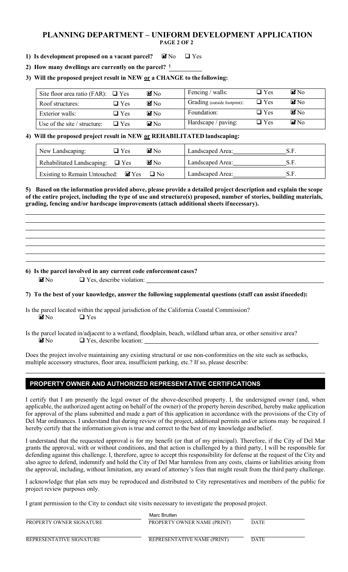### **PLANNING DEPARTMENT – UNIFORM DEVELOPMENT APPLICATION PAGE 2 OF 2**

#### **1) Is development proposed on a vacant parcel?**   $\blacksquare$  No  $\blacksquare$  Yes

**2) How many dwellings are currently on the parcel?** 1

# **3) Will the proposed project result in NEW or a CHANGE to the following:**

| Site floor area ratio (FAR): $\Box$ Yes |               | $\blacksquare$ No | Fencing / walls:             | $\Box$ Yes    | $\blacksquare$ No |
|-----------------------------------------|---------------|-------------------|------------------------------|---------------|-------------------|
| Roof structures:                        | $\square$ Yes | $M_{\rm No}$      | Grading (outside footprint): | $\Box$ Yes    | $\blacksquare$ No |
| Exterior walls:                         | $\Box$ Yes    | $\blacksquare$ No | Foundation:                  | $\square$ Yes | $\blacksquare$ No |
| Use of the site $/$ structure:          | $\Box$ Yes    | $\mathbf{Z}$ No   | Hardscape / paving:          | $\Box$ Yes    | $\mathbf{Z}$ No   |

## **4) Will the proposed project result in NEW or REHABILITATED landscaping:**

| New Landscaping:                                 | $\square$ Yes | $\blacksquare$ No | Landscaped Area: |     |
|--------------------------------------------------|---------------|-------------------|------------------|-----|
| Rehabilitated Landscaping: $\Box$ Yes            |               | $\blacksquare$ No | Landscaped Area: |     |
| Existing to Remain Untouched: $\blacksquare$ Yes |               | $\Box$ No         | Landscaped Area: | S.F |

**5) Based on the information provided above, please provide a detailed project description and explain the scope of the entire project, including the type of use and structure(s) proposed, number of stories, building materials, grading, fencing and/or hardscape improvements (attach additional sheets ifnecessary).**

### **6) Is the parcel involved in any current code enforcement cases?**

 $\blacksquare$  No  $\blacksquare$  Yes, describe violation:

# **7) To the best of your knowledge, answer the following supplemental questions (staff can assist ifneeded):**

Is the parcel located within the appeal jurisdiction of the California Coastal Commission?  $\blacksquare$  No  $\Box$  Yes

Is the parcel located in/adjacent to a wetland, floodplain, beach, wildland urban area, or other sensitive area?  $\blacksquare$  No  $\blacksquare$  Yes, describe location:

Does the project involve maintaining any existing structural or use non-conformities on the site such as setbacks, multiple accessory structures, floor area, insufficient parking, etc.? If so, please describe:

# **PROPERTY OWNER AND AUTHORIZED REPRESENTATIVE CERTIFICATIONS**

I certify that I am presently the legal owner of the above-described property. I, the undersigned owner (and, when applicable, the authorized agent acting on behalf of the owner) of the property herein described, hereby make application for approval of the plans submitted and made a part of this application in accordance with the provisions of the City of Del Mar ordinances. I understand that during review of the project, additional permits and/or actions may be required. I hereby certify that the information given is true and correct to the best of my knowledge and belief.

I understand that the requested approval is for my benefit (or that of my principal). Therefore, if the City of Del Mar grants the approval, with or without conditions, and that action is challenged by a third party, I will be responsible for defending against this challenge. I, therefore, agree to accept this responsibility for defense at the request of the City and also agree to defend, indemnify and hold the City of Del Mar harmless from any costs, claims or liabilities arising from the approval, including, without limitation, any award of attorney's fees that might result from the third party challenge.

I acknowledge that plan sets may be reproduced and distributed to City representatives and members of the public for project review purposes only.

I grant permission to the City to conduct site visits necessary to investigate the proposed project.

|                          | Marc Brutten                |             |
|--------------------------|-----------------------------|-------------|
| PROPERTY OWNER SIGNATURE | PROPERTY OWNER NAME (PRINT) | <b>DATE</b> |
| REPRESENTATIVE SIGNATURE | REPRESENTATIVE NAME (PRINT) | <b>DATE</b> |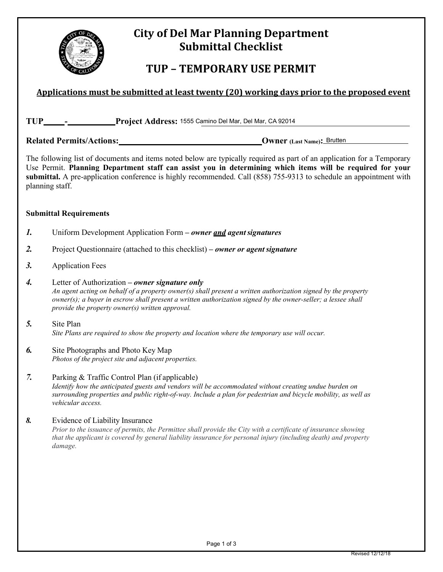

# **City of Del Mar Planning Department Submittal Checklist**

# **TUP – TEMPORARY USE PERMIT**

# Applications must be submitted at least twenty (20) working days prior to the proposed event

| <b>TUP</b><br>Project Address: 1555 Camino Del Mar, Del Mar, CA 92014 |  |
|-----------------------------------------------------------------------|--|
|-----------------------------------------------------------------------|--|

Related Permits/Actions: <u>Case of Actions:</u> Owner (Last Name): Brutten

The following list of documents and items noted below are typically required as part of an application for a Temporary Use Permit. **Planning Department staff can assist you in determining which items will be required for your submittal.** A pre-application conference is highly recommended. Call (858) 755-9313 to schedule an appointment with planning staff.

#### **Submittal Requirements**

- *1.* Uniform Development Application Form  *owner and agent signatures*
- *2.* Project Questionnaire (attached to this checklist)  *owner or agent signature*
- *3.* Application Fees
- *4.* Letter of Authorization  *owner signature only An agent acting on behalf of a property owner(s) shall present a written authorization signed by the property owner(s); a buyer in escrow shall present a written authorization signed by the owner-seller; a lessee shall provide the property owner(s) written approval.*
- *5.* Site Plan *Site Plans are required to show the property and location where the temporary use will occur.*
- *6.* Site Photographs and Photo Key Map *Photos of the project site and adjacent properties.*
- *7.* Parking & Traffic Control Plan (if applicable) *Identify how the anticipated guests and vendors will be accommodated without creating undue burden on surrounding properties and public right-of-way. Include a plan for pedestrian and bicycle mobility, as well as vehicular access.*
- *8.* Evidence of Liability Insurance *Prior to the issuance of permits, the Permittee shall provide the City with a certificate of insurance showing that the applicant is covered by general liability insurance for personal injury (including death) and property damage.*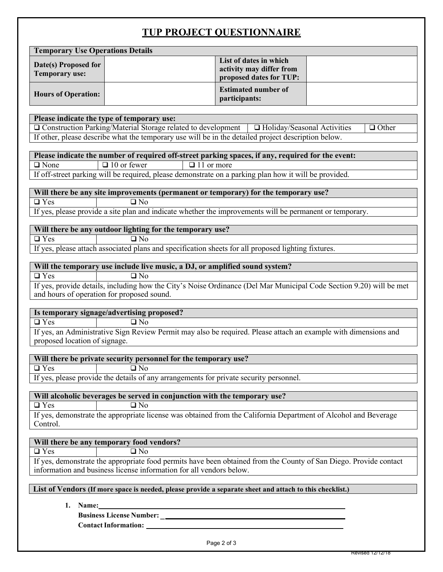# **TUP PROJECT QUESTIONNAIRE**

|                                                                                                                                                                                          |                                                                                                                 | TUT TROUDUL QUEBITOI WARRE                                                    |              |  |
|------------------------------------------------------------------------------------------------------------------------------------------------------------------------------------------|-----------------------------------------------------------------------------------------------------------------|-------------------------------------------------------------------------------|--------------|--|
| <b>Temporary Use Operations Details</b>                                                                                                                                                  |                                                                                                                 |                                                                               |              |  |
| Date(s) Proposed for<br><b>Temporary use:</b>                                                                                                                                            |                                                                                                                 | List of dates in which<br>activity may differ from<br>proposed dates for TUP: |              |  |
| <b>Hours of Operation:</b>                                                                                                                                                               |                                                                                                                 | <b>Estimated number of</b><br>participants:                                   |              |  |
| Please indicate the type of temporary use:                                                                                                                                               |                                                                                                                 |                                                                               |              |  |
|                                                                                                                                                                                          | O Construction Parking/Material Storage related to development                                                  | $\Box$ Holiday/Seasonal Activities                                            | $\Box$ Other |  |
|                                                                                                                                                                                          | If other, please describe what the temporary use will be in the detailed project description below.             |                                                                               |              |  |
|                                                                                                                                                                                          |                                                                                                                 |                                                                               |              |  |
|                                                                                                                                                                                          | Please indicate the number of required off-street parking spaces, if any, required for the event:               |                                                                               |              |  |
| $\Box$ None                                                                                                                                                                              | $\Box$ 11 or more<br>$\Box$ 10 or fewer                                                                         |                                                                               |              |  |
|                                                                                                                                                                                          | If off-street parking will be required, please demonstrate on a parking plan how it will be provided.           |                                                                               |              |  |
|                                                                                                                                                                                          | Will there be any site improvements (permanent or temporary) for the temporary use?                             |                                                                               |              |  |
| $\overline{\Box$ Yes                                                                                                                                                                     | $\overline{\Box}$ No                                                                                            |                                                                               |              |  |
|                                                                                                                                                                                          | If yes, please provide a site plan and indicate whether the improvements will be permanent or temporary.        |                                                                               |              |  |
|                                                                                                                                                                                          |                                                                                                                 |                                                                               |              |  |
| $\Box$ Yes                                                                                                                                                                               | Will there be any outdoor lighting for the temporary use?<br>$\Box$ No                                          |                                                                               |              |  |
|                                                                                                                                                                                          | If yes, please attach associated plans and specification sheets for all proposed lighting fixtures.             |                                                                               |              |  |
|                                                                                                                                                                                          |                                                                                                                 |                                                                               |              |  |
|                                                                                                                                                                                          | Will the temporary use include live music, a DJ, or amplified sound system?                                     |                                                                               |              |  |
| $\overline{\Box$ Yes                                                                                                                                                                     | $\Box$ No                                                                                                       |                                                                               |              |  |
| If yes, provide details, including how the City's Noise Ordinance (Del Mar Municipal Code Section 9.20) will be met<br>and hours of operation for proposed sound.                        |                                                                                                                 |                                                                               |              |  |
|                                                                                                                                                                                          | Is temporary signage/advertising proposed?                                                                      |                                                                               |              |  |
| $\Box$ Yes                                                                                                                                                                               | $\Box$ No                                                                                                       |                                                                               |              |  |
| proposed location of signage.                                                                                                                                                            | If yes, an Administrative Sign Review Permit may also be required. Please attach an example with dimensions and |                                                                               |              |  |
|                                                                                                                                                                                          | Will there be private security personnel for the temporary use?                                                 |                                                                               |              |  |
| $\square$ Yes                                                                                                                                                                            | $\square$ No                                                                                                    |                                                                               |              |  |
| If yes, please provide the details of any arrangements for private security personnel.                                                                                                   |                                                                                                                 |                                                                               |              |  |
| Will alcoholic beverages be served in conjunction with the temporary use?                                                                                                                |                                                                                                                 |                                                                               |              |  |
| $\overline{\Box$ Yes<br>$\overline{\Box}$ No                                                                                                                                             |                                                                                                                 |                                                                               |              |  |
| If yes, demonstrate the appropriate license was obtained from the California Department of Alcohol and Beverage<br>Control.                                                              |                                                                                                                 |                                                                               |              |  |
|                                                                                                                                                                                          | Will there be any temporary food vendors?                                                                       |                                                                               |              |  |
| $\Box$ Yes                                                                                                                                                                               | $\Box$ No                                                                                                       |                                                                               |              |  |
| If yes, demonstrate the appropriate food permits have been obtained from the County of San Diego. Provide contact<br>information and business license information for all vendors below. |                                                                                                                 |                                                                               |              |  |
| List of Vendors (If more space is needed, please provide a separate sheet and attach to this checklist.)                                                                                 |                                                                                                                 |                                                                               |              |  |
|                                                                                                                                                                                          |                                                                                                                 |                                                                               |              |  |
| 1. Name:                                                                                                                                                                                 |                                                                                                                 |                                                                               |              |  |
|                                                                                                                                                                                          | <b>Business License Number:</b>                                                                                 |                                                                               |              |  |

Contact Information: \_\_\_\_\_